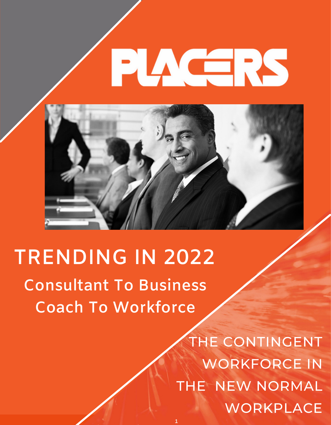

**1**

# **TRENDING IN 2022**

**Consultant To Business Coach To Workforce**

> THE CONTINGENT WORKFORCE IN THE NEW NORMAL WORKPLACE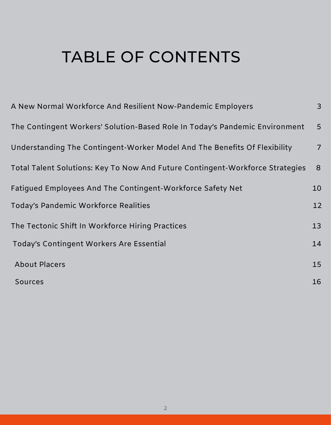#### TABLE OF CONTENTS

| A New Normal Workforce And Resilient Now-Pandemic Employers                   | $\mathsf{3}$    |
|-------------------------------------------------------------------------------|-----------------|
| The Contingent Workers' Solution-Based Role In Today's Pandemic Environment   | $5\overline{)}$ |
| Understanding The Contingent-Worker Model And The Benefits Of Flexibility     | $\overline{7}$  |
| Total Talent Solutions: Key To Now And Future Contingent-Workforce Strategies | 8 <sup>°</sup>  |
| Fatigued Employees And The Contingent-Workforce Safety Net                    | 10              |
| Today's Pandemic Workforce Realities                                          | 12              |
| The Tectonic Shift In Workforce Hiring Practices                              | 13              |
| Today's Contingent Workers Are Essential                                      | 14              |
| <b>About Placers</b>                                                          | 15              |
| <b>Sources</b>                                                                | 16              |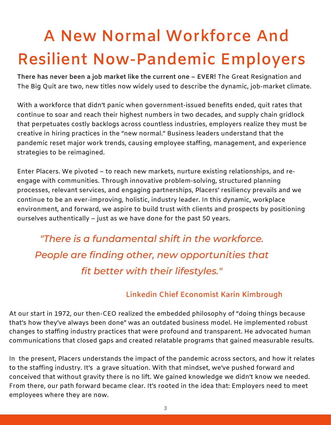# **A New Normal Workforce And Resilient Now-Pandemic Employers**

**There has never been a job market like the current one – EVER!** The Great Resignation and The Big Quit are two, new titles now widely used to describe the dynamic, job-market climate.

With a workforce that didn't panic when government-issued benefits ended, quit rates that continue to soar and reach their highest numbers in two decades, and supply chain gridlock that perpetuates costly backlogs across countless industries, employers realize they must be creative in hiring practices in the "new normal." Business leaders understand that the pandemic reset major work trends, causing employee staffing, management, and experience strategies to be reimagined.

Enter Placers. We pivoted – to reach new markets, nurture existing relationships, and reengage with communities. Through innovative problem-solving, structured planning processes, relevant services, and engaging partnerships, Placers' resiliency prevails and we continue to be an ever-improving, holistic, industry leader. In this dynamic, workplace environment, and forward, we aspire to build trust with clients and prospects by positioning ourselves authentically – just as we have done for the past 50 years.

*"There is a fundamental shift in the workforce. People are finding other, new opportunities that fit better with their lifestyles."*

#### **Linkedin Chief Economist Karin Kimbrough**

At our start in 1972, our then-CEO realized the embedded philosophy of "doing things because that's how they've always been done" was an outdated business model. He implemented robust changes to staffing industry practices that were profound and transparent. He advocated human communications that closed gaps and created relatable programs that gained measurable results.

In the present, Placers understands the impact of the pandemic across sectors, and how it relates to the staffing industry. It's a grave situation. With that mindset, we've pushed forward and conceived that without gravity there is no lift. We gained knowledge we didn't know we needed. From there, our path forward became clear. It's rooted in the idea that: Employers need to meet employees where they are now.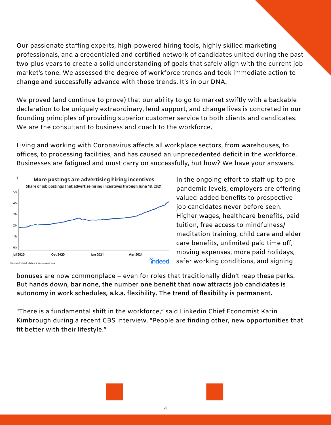Our passionate staffing experts, high-powered hiring tools, highly skilled marketing professionals, and a credentialed and certified network of candidates united during the past two-plus years to create a solid understanding of goals that safely align with the current job market's tone. We assessed the degree of workforce trends and took immediate action to change and successfully advance with those trends. It's in our DNA.

We proved (and continue to prove) that our ability to go to market swiftly with a backable declaration to be uniquely extraordinary, lend support, and change lives is concreted in our founding principles of providing superior customer service to both clients and candidates. We are the consultant to business and coach to the workforce.

Living and working with Coronavirus affects all workplace sectors, from warehouses, to offices, to processing facilities, and has caused an unprecedented deficit in the workforce. Businesses are fatigued and must carry on successfully, but how? We have your answers.



In the ongoing effort to staff up to prepandemic levels, employers are offering valued-added benefits to prospective job candidates never before seen. Higher wages, healthcare benefits, paid tuition, free access to mindfulness/ meditation training, child care and elder care benefits, unlimited paid time off, moving expenses, more paid holidays, safer working conditions, and signing

bonuses are now commonplace – even for roles that traditionally didn't reap these perks. **But hands down, bar none, the number one benefit that now attracts job candidates is autonomy in work schedules, a.k.a. flexibility. The trend of flexibility is permanent.**

"There is a fundamental shift in the workforce," said Linkedin Chief Economist Karin Kimbrough during a recent CBS interview. "People are finding other, new opportunities that fit better with their lifestyle."



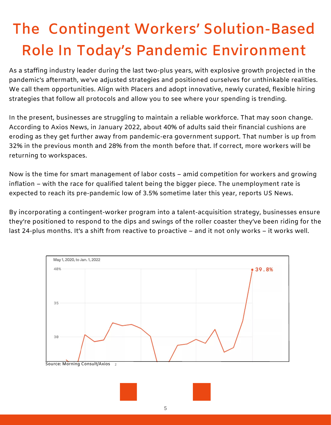## **The Contingent Workers' Solution-Based Role In Today's Pandemic Environment**

As a staffing industry leader during the last two-plus years, with explosive growth projected in the pandemic's aftermath, we've adjusted strategies and positioned ourselves for unthinkable realities. We call them opportunities. Align with Placers and adopt innovative, newly curated, flexible hiring strategies that follow all protocols and allow you to see where your spending is trending.

In the present, businesses are struggling to maintain a reliable workforce. That may soon change. According to Axios News, in January 2022, about 40% of adults said their financial cushions are eroding as they get further away from pandemic-era government support. That number is up from 32% in the previous month and 28% from the month before that. If correct, more workers will be returning to workspaces.

Now is the time for smart management of labor costs – amid competition for workers and growing inflation – with the race for qualified talent being the bigger piece. The unemployment rate is expected to reach its pre-pandemic low of 3.5% sometime later this year, reports US News.

By incorporating a contingent-worker program into a talent-acquisition strategy, businesses ensure they're positioned to respond to the dips and swings of the roller coaster they've been riding for the last 24-plus months. It's a shift from reactive to proactive – and it not only works – it works well.

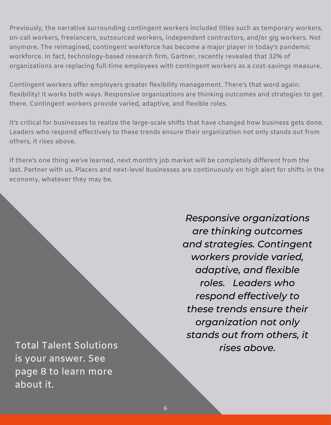Previously, the narrative surrounding contingent workers included titles such as temporary workers, on-call workers, freelancers, outsourced workers, independent contractors, and/or gig workers. Not anymore. The reimagined, contingent workforce has become a major player in today's pandemic workforce. In fact, technology-based research firm, Gartner, recently revealed that 32% of organizations are replacing full-time employees with contingent workers as a cost-savings measure.

Contingent workers offer employers greater flexibility management. There's that word again: flexibility! It works both ways. Responsive organizations are thinking outcomes and strategies to get there. Contingent workers provide varied, adaptive, and flexible roles.

It's critical for businesses to realize the large-scale shifts that have changed how business gets done. Leaders who respond effectively to these trends ensure their organization not only stands out from others, it rises above.

If there's one thing we've learned, next month's job market will be completely different from the last. Partner with us. Placers and next-level businesses are continuously on high alert for shifts in the economy, whatever they may be.

To *rises above.* tal Talent Solutions is your answer. See page 8 to learn more about it.

*Responsive organizations are thinking outcomes and strategies. Contingent workers provide varied, adaptive, and flexible roles. Leaders who respond effectively to these trends ensure their organization not only stands out from others, it*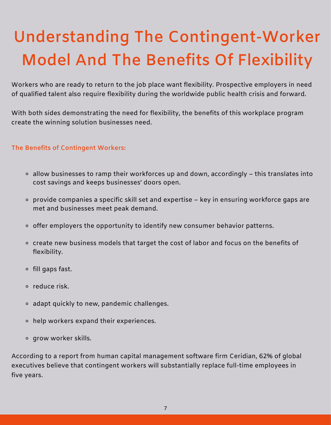# **Understanding The Contingent-Worker Model And The Benefits Of Flexibility**

Workers who are ready to return to the job place want flexibility. Prospective employers in need of qualified talent also require flexibility during the worldwide public health crisis and forward.

With both sides demonstrating the need for flexibility, the benefits of this workplace program create the winning solution businesses need.

#### **The Benefits of Contingent Workers:**

- $\circ$  allow businesses to ramp their workforces up and down, accordingly this translates into cost savings and keeps businesses' doors open.
- $\circ$  provide companies a specific skill set and expertise key in ensuring workforce gaps are met and businesses meet peak demand.
- $\circ$  offer employers the opportunity to identify new consumer behavior patterns.
- o create new business models that target the cost of labor and focus on the benefits of flexibility.
- $\circ$  fill gaps fast.
- o reduce risk.
- adapt quickly to new, pandemic challenges.
- help workers expand their experiences.
- grow worker skills.

According to a report from human capital management software firm Ceridian, 62% of global executives believe that contingent workers will substantially replace full-time employees in five years.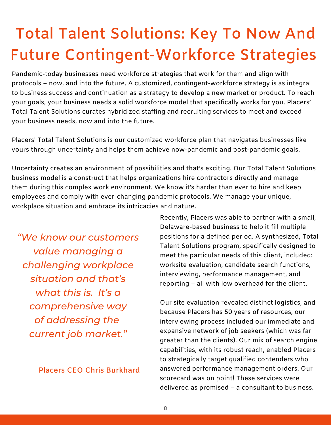## **Total Talent Solutions: Key To Now And Future Contingent-Workforce Strategies**

Pandemic-today businesses need workforce strategies that work for them and align with protocols – now, and into the future. A customized, contingent-workforce strategy is as integral to business success and continuation as a strategy to develop a new market or product. To reach your goals, your business needs a solid workforce model that specifically works for you. Placers' Total Talent Solutions curates hybridized staffing and recruiting services to meet and exceed your business needs, now and into the future.

Placers' Total Talent Solutions is our customized workforce plan that navigates businesses like yours through uncertainty and helps them achieve now-pandemic and post-pandemic goals.

Uncertainty creates an environment of possibilities and that's exciting. Our Total Talent Solutions business model is a construct that helps organizations hire contractors directly and manage them during this complex work environment. We know it's harder than ever to hire and keep employees and comply with ever-changing pandemic protocols. We manage your unique, workplace situation and embrace its intricacies and nature.

*"We know our customers value managing a challenging workplace situation and that's what this is. It's a comprehensive way of addressing the current job market."*

**Placers CEO Chris Burkhard**

Recently, Placers was able to partner with a small, Delaware-based business to help it fill multiple positions for a defined period. A synthesized, Total Talent Solutions program, specifically designed to meet the particular needs of this client, included: worksite evaluation, candidate search functions, interviewing, performance management, and reporting – all with low overhead for the client.

Our site evaluation revealed distinct logistics, and because Placers has 50 years of resources, our interviewing process included our immediate and expansive network of job seekers (which was far greater than the clients). Our mix of search engine capabilities, with its robust reach, enabled Placers to strategically target qualified contenders who answered performance management orders. Our scorecard was on point! These services were delivered as promised – a consultant to business.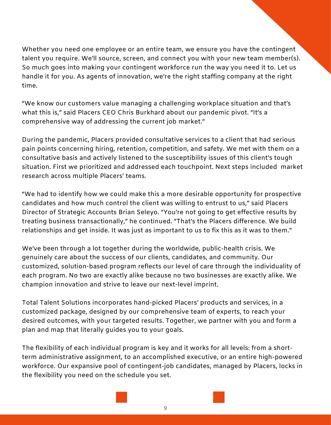Whether you need one employee or an entire team, we ensure you have the contingent talent you require. We'll source, screen, and connect you with your new team member(s). So much goes into making your contingent workforce run the way you need it to. Let us handle it for you. As agents of innovation, we're the right staffing company at the right time.

"We know our customers value managing a challenging workplace situation and that's what this is," said Placers CEO Chris Burkhard about our pandemic pivot. "It's a comprehensive way of addressing the current job market."

During the pandemic, Placers provided consultative services to a client that had serious pain points concerning hiring, retention, competition, and safety. We met with them on a consultative basis and actively listened to the susceptibility issues of this client's tough situation. First we prioritized and addressed each touchpoint. Next steps included market research across multiple Placers' teams.

"We had to identify how we could make this a more desirable opportunity for prospective candidates and how much control the client was willing to entrust to us," said Placers Director of Strategic Accounts Brian Seleyo. "You're not going to get effective results by treating business transactionally," he continued. "That's the Placers difference. We build relationships and get inside. It was just as important to us to fix this as it was to them."

We've been through a lot together during the worldwide, public-health crisis. We genuinely care about the success of our clients, candidates, and community. Our customized, solution-based program reflects our level of care through the individuality of each program. No two are exactly alike because no two businesses are exactly alike. We champion innovation and strive to leave our next-level imprint.

Total Talent Solutions incorporates hand-picked Placers' products and services, in a customized package, designed by our comprehensive team of experts, to reach your desired outcomes, with your targeted results. Together, we partner with you and form a plan and map that literally guides you to your goals.

The flexibility of each individual program is key and it works for all levels: from a shortterm administrative assignment, to an accomplished executive, or an entire high-powered workforce. Our expansive pool of contingent-job candidates, managed by Placers, locks in the flexibility you need on the schedule you set.

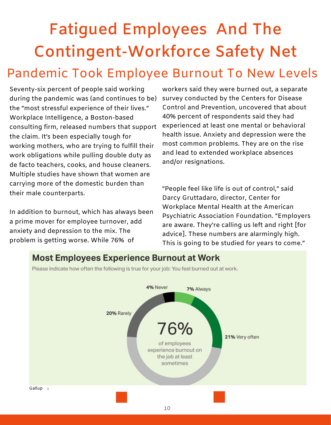## **Fatigued Employees And The Contingent-Workforce Safety Net** Pandemic Took Employee Burnout To New Levels

Seventy-six percent of people said working during the pandemic was (and continues to be) the "most stressful experience of their lives." Workplace Intelligence, a Boston-based consulting firm, released numbers that support the claim. It's been especially tough for working mothers, who are trying to fulfill their work obligations while pulling double duty as de facto teachers, cooks, and house cleaners. Multiple studies have shown that women are carrying more of the domestic burden than their male counterparts.

In addition to burnout, which has always been a prime mover for employee turnover, add anxiety and depression to the mix. The problem is getting worse. While 76% of

workers said they were burned out, a separate survey conducted by the Centers for Disease Control and Prevention, uncovered that about 40% percent of respondents said they had experienced at least one mental or behavioral health issue. Anxiety and depression were the most common problems. They are on the rise and lead to extended workplace absences and/or resignations.

"People feel like life is out of control," said Darcy Gruttadaro, director, Center for Workplace Mental Health at the American Psychiatric Association Foundation. "Employers are aware. They're calling us left and right [for advice]. These numbers are alarmingly high. This is going to be studied for years to come."

#### **Most Employees Experience Burnout at Work**



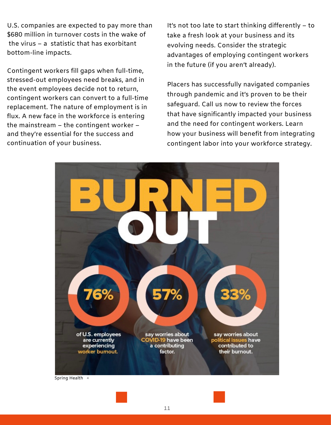U.S. companies are expected to pay more than \$680 million in turnover costs in the wake of the virus – a statistic that has exorbitant bottom-line impacts.

Contingent workers fill gaps when full-time, stressed-out employees need breaks, and in the event employees decide not to return, contingent workers can convert to a full-time replacement. The nature of employment is in flux. A new face in the workforce is entering the mainstream – the contingent worker – and they're essential for the success and continuation of your business.

It's not too late to start thinking differently – to take a fresh look at your business and its evolving needs. Consider the strategic advantages of employing contingent workers in the future (if you aren't already).

Placers has successfully navigated companies through pandemic and it's proven to be their safeguard. Call us now to review the forces that have significantly impacted your business and the need for contingent workers. Learn how your business will benefit from integrating contingent labor into your workforce strategy.



Spring Health 4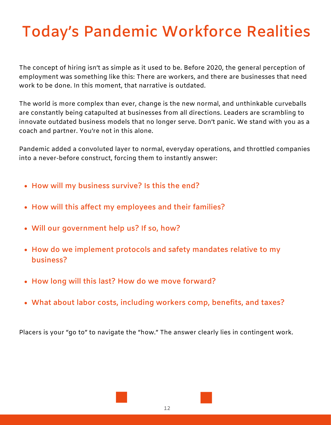#### **Today's Pandemic Workforce Realities**

The concept of hiring isn't as simple as it used to be. Before 2020, the general perception of employment was something like this: There are workers, and there are businesses that need work to be done. In this moment, that narrative is outdated.

The world is more complex than ever, change is the new normal, and unthinkable curveballs are constantly being catapulted at businesses from all directions. Leaders are scrambling to innovate outdated business models that no longer serve. Don't panic. We stand with you as a coach and partner. You're not in this alone.

Pandemic added a convoluted layer to normal, everyday operations, and throttled companies into a never-before construct, forcing them to instantly answer:

- **How will my business survive? Is this the end?**
- **How will this affect my employees and their families?**
- **Will our government help us? If so, how?**
- **How do we implement protocols and safety mandates relative to my business?**
- **How long will this last? How do we move forward?**
- **What about labor costs, including workers comp, benefits, and taxes?**

Placers is your "go to" to navigate the "how." The answer clearly lies in contingent work.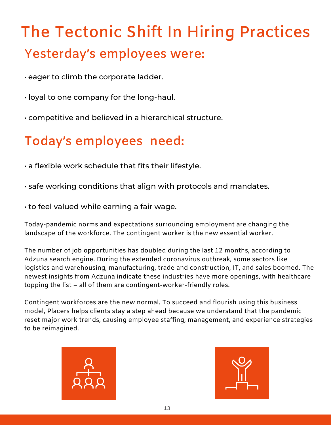## **The Tectonic Shift In Hiring Practices** Y**esterday's employees were:**

- eager to climb the corporate ladder.
- loyal to one company for the long-haul.
- competitive and believed in a hierarchical structure.

#### **Today's employees need:**

- a flexible work schedule that fits their lifestyle.
- safe working conditions that align with protocols and mandates.
- to feel valued while earning a fair wage.

Today-pandemic norms and expectations surrounding employment are changing the landscape of the workforce. The contingent worker is the new essential worker.

The number of job opportunities has doubled during the last 12 months, according to Adzuna search engine. During the extended coronavirus outbreak, some sectors like logistics and warehousing, manufacturing, trade and construction, IT, and sales boomed. The newest insights from Adzuna indicate these industries have more openings, with healthcare topping the list – all of them are contingent-worker-friendly roles.

Contingent workforces are the new normal. To succeed and flourish using this business model, Placers helps clients stay a step ahead because we understand that the pandemic reset major work trends, causing employee staffing, management, and experience strategies to be reimagined.



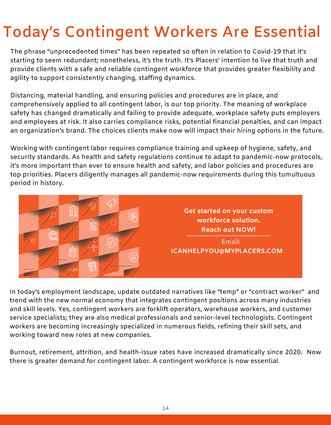#### **Today's Contingent Workers Are Essential**

The phrase "unprecedented times" has been repeated so often in relation to Covid-19 that it's starting to seem redundant; nonetheless, it's the truth. It's Placers' intention to live that truth and provide clients with a safe and reliable contingent workforce that provides greater flexibility and agility to support consistently changing, staffing dynamics.

Distancing, material handling, and ensuring policies and procedures are in place, and comprehensively applied to all contingent labor, is our top priority. The meaning of workplace safety has changed dramatically and failing to provide adequate, workplace safety puts employers and employees at risk. It also carries compliance risks, potential financial penalties, and can impact an organization's brand. The choices clients make now will impact their hiring options in the future.

Working with contingent labor requires compliance training and upkeep of hygiene, safety, and security standards. As health and safety regulations continue to adapt to pandemic-now protocols, it's more important than ever to ensure health and safety, and labor policies and procedures are top priorities. Placers diligently manages all pandemic-now requirements during this tumultuous period in history.



In today's employment landscape, update outdated narratives like "temp" or "contract worker" and trend with the new normal economy that integrates contingent positions across many industries and skill levels. Yes, contingent workers are forklift operators, warehouse workers, and customer service specialists; they are also medical professionals and senior-level technologists. Contingent workers are becoming increasingly specialized in numerous fields, refining their skill sets, and working toward new roles at new companies.

Burnout, retirement, attrition, and health-issue rates have increased dramatically since 2020. Now there is greater demand for contingent labor. A contingent workforce is now essential.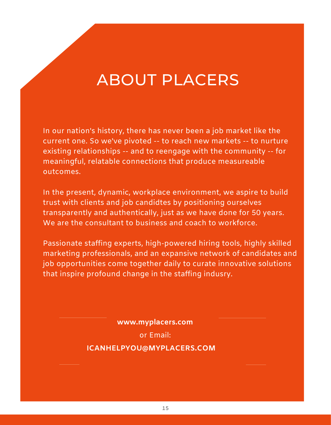#### ABOUT PLACERS

In our nation's history, there has never been a job market like the current one. So we've pivoted -- to reach new markets -- to nurture existing relationships -- and to reengage with the community -- for meaningful, relatable connections that produce measureable outcomes.

In the present, dynamic, workplace environment, we aspire to build trust with clients and job candidtes by positioning ourselves transparently and authentically, just as we have done for 50 years. We are the consultant to business and coach to workforce.

Passionate staffing experts, high-powered hiring tools, highly skilled marketing professionals, and an expansive network of candidates and job opportunities come together daily to curate innovative solutions that inspire profound change in the staffing indusry.

**www.myplacers.com**

or Email:

**ICANHELPYOU@MYPLACERS.COM**